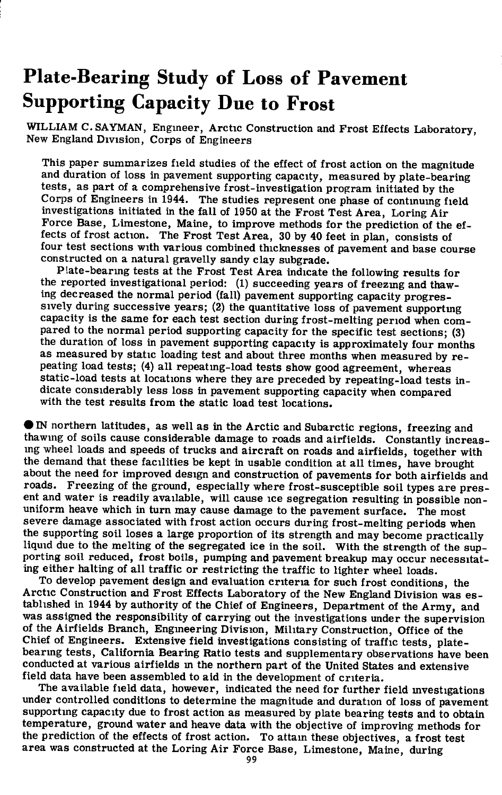# **Plate-Bearing Study of Loss of Pavement Supporting Capacity Due to Frost**

WILLIAM C.SAYMAN, Engineer, Arctic Construction and Frost Effects Laboratory, New England Division, Corps of Engineers

This paper summarizes field studies of the effect of frost action on the magnitude and duration of loss in pavement supporting capacity, measured by plate-bearing tests, as part of a comprehensive frost-investigation program initiated by the Corps of Engineers in 1944. The studies represent one phase of continumg field investigations initiated in the fall of 1950 at the Frost Test Area, Loring Air Force Base, Limestone, Maine, to improve methods for the prediction of the effects of frost action. The Frost Test Area, 30 by 40 feet in plan, consists of four test sections with various combined thicknesses of pavement and base course constructed on a natural gravelly sandy clay subgrade.

Plate-bearing tests at the Frost Test Area indicate the following results for the reported investigational period: (1) succeeding years of freezmg and thawing decreased the normal period (fall) pavement supporting capacity progressively during successive years; (2) the quantitative loss of pavement supportmg capacity is the same for each test section during frost-melting period when compared to the normal period supporting capacity for the specific test sections; (3) the duration of loss in pavement supporting capacity is approximately four months as measured by static loading test and about three months when measured by repeating load tests; (4) all repeating-load tests show good agreement, whereas static-load tests at locations where they are preceded by repeating-load tests in dicate considerably less loss in pavement supporting capacity when compared with the test results from the static load test locations.

• IN northern latitudes, as well as in the Arctic and Subarctic regions, freezing and thawing of soils cause considerable damage to roads and airfields. Constantly increasing wheel loads and speeds of trucks and aircraft on roads and airfields, together with the demand that these facilities be kept in usable condition at all times, have brought about the need for improved design and construction of pavements for both airfields and roads. Freezing of the ground, especially where frost-susceptible soil types are present and water is readily available, will cause ice segregation resulting in possible nonuniform heave which in turn may cause damage to the pavement surface. The most severe damage associated with frost action occurs during frost-melting periods when the supporting soil loses a large proportion of its strength and may become practically liquid due to the melting of the segregated ice in the soil. With the strength of the supporting soil reduced, frost boils, pumping and pavement breakup may occur necessitating either halting of all traffic or restricting the traffic to lighter wheel loads.

To develop pavement design and evaluation criteria for such frost conditions, the Arctic Construction and Frost Effects Laboratory of the New England Division was established in 1944 by authority of the Chief of Engineers, Department of the Army, and was assigned the responsibility of carrying out the investigations under the supervision of the Airfields Branch, Engineering Division, Military Construction, Office of the Chief of Engineers. Extensive field investigations consisting of traffic tests, platebearmg tests, California Bearing Ratio tests and supplementary observations have been conducted at various airfields in the northern part of the United States and extensive field data have been assembled to aid in the development of criteria.

The available field data, however, indicated the need for further field mvestigations under controlled conditions to determine the magnitude and duration of loss of pavement supporting capacity due to frost action as measured by plate bearing tests and to obtain temperature, ground water and heave data with the objective of improving methods for the prediction of the effects of frost action. To attain these objectives, a frost test area was constructed at the Loring Air Force Base, Limestone, Maine, during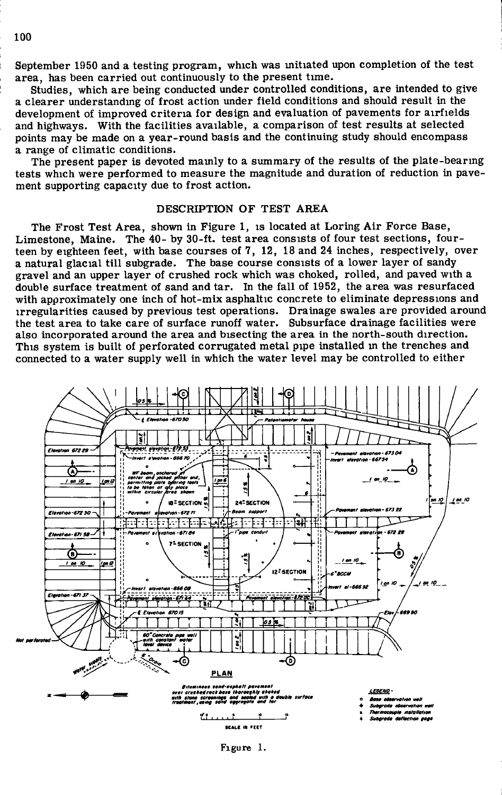September 1950 and a testing program, which was mitiated upon completion of the test area, has been carried out continuously to the present time.

Studies, which are being conducted under controlled conditions, are intended to give a clearer understanding of frost action under field conditions and should result in the development of improved criteria for design and evaluation of pavements for airfields and highways. With the facilities available, a comparison of test results at selected points may be made on a year-round basis and the continuing study should encompass a range of climatic conditions.

The present paper is devoted mainly to a summary of the results of the plate-bearing tests which were performed to measure the magnitude and duration of reduction in pavement supporting capacity due to frost action.

## DESCRIPTION OF TEST AREA

The Frost Test Area, shown in Figure 1, is located at Loring Air Force Base, Limestone, Maine. The 40- by 30-ft. test area consists of four test sections, fourteen by eighteen feet, with base courses of 7, 12, 18 and 24 inches, respectively, over a natural glacial till subgrade. The base course consists of a lower layer of sandy gravel and an upper layer of crushed rock which was choked, rolled, and paved with a double surface treatment of sand and tar. In the fall of 1952, the area was resurfaced with approximately one inch of hot-mix asphaltic concrete to eliminate depressions and irregularities caused by previous test operations. Drainage swales are provided around the test area to take care of surface runoff water. Subsurface drainage facilities were also incorporated around the area and bisecting the area in the north-south direction. This system is built of perforated corrugated metal pipe installed in the trenches and connected to a water supply well in which the water level may be controlled to either



**Figure 1.**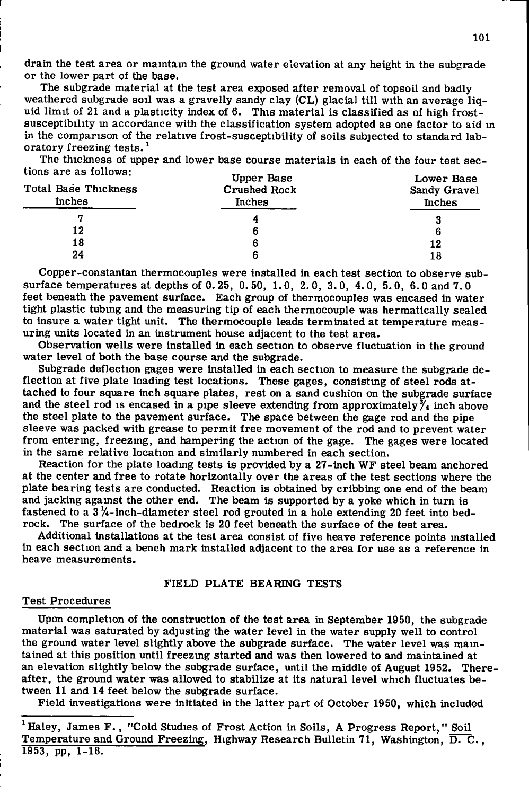drain the test area or maintain the ground water elevation at any height in the subgrade or the lower part of the base.

The subgrade material at the test area exposed after removal of topsoil and badly weathered subgrade soil was a gravelly sandy clay  $(C<sub>L</sub>)$  glacial till with an average liquid limit of 21 and a plasticity index of 6. This material is classified as of high frostsusceptibility m accordance with the classification system adopted as one factor to aid m in the comparison of the relative frost-susceptibility of soils subjected to standard laboratory freezing tests.'

The thickness of upper and lower base course materials in each of the four test sections are as follows:

| Total Base Thickness<br>Inches | Upper Base<br><b>Crushed Rock</b><br>Inches | Lower Base<br>Sandy Gravel<br><b>Inches</b> |
|--------------------------------|---------------------------------------------|---------------------------------------------|
|                                |                                             | 3                                           |
| 12                             |                                             | 6                                           |
| 18                             |                                             | 12                                          |
| 24                             |                                             | 18                                          |

Copper-constantan thermocouples were installed in each test section to observe subsurface temperatures at depths of 0. 25, 0. 50, 1.0, 2. 0, 3.0, 4.0, 5.0, 6.0 and 7.0 feet beneath the pavement surface. Each group of thermocouples was encased in water tight plastic tubing and the measuring tip of each thermocouple was hermatically sealed to insure a water tight unit. The thermocouple leads terminated at temperature measuring units located in an instrument house adjacent to the test area.

Observation wells were installed in each section to observe fluctuation in the ground water level of both the base course and the subgrade.

Subgrade deflection gages were installed in each section to measure the subgrade deflection at five plate loading test locations. These gages, consisting of steel rods attached to four square inch square plates, rest on a sand cushion on the subgrade surface and the steel rod is encased in a pipe sleeve extending from approximately  $\tilde{\gamma}_4$  inch above the steel plate to the pavement surface. The space between the gage rod and the pipe sleeve was packed with grease to permit free movement of the rod and to prevent water from entering, freezing, and hampering the action of the gage. The gages were located in the same relative location and similarly numbered in each section.

Reaction for the plate loadmg tests is provided by a 27-inch WF steel beam anchored at the center and free to rotate horizontally over the areas of the test sections where the plate bearing tests are conducted. Reaction is obtained by cribbing one end of the beam and jacking against the other end. The beam is supported by a yoke which in turn is fastened to a  $3\frac{1}{4}$ -inch-diameter steel rod grouted in a hole extending 20 feet into bedrock. The surface of the bedrock is 20 feet beneath the surface of the test area.

Additional installations at the test area consist of five heave reference points installed in each section and a bench mark installed adjacent to the area for use as a reference in heave measurements.

## FIELD PLATE BEARING TESTS

#### Test Procedures

Upon completion of the construction of the test area in September 1950, the subgrade material was saturated by adjusting the water level in the water supply well to control the ground water level slightly above the subgrade surface. The water level was maintained at this position until freezmg started and was then lowered to and maintained at an elevation slightly below the subgrade surface, until the middle of August 1952. Thereafter, the ground water was allowed to stabilize at its natural level which fluctuates between 11 and 14 feet below the subgrade surface.

Field investigations were initiated in the latter part of October 1950, which included

<sup>&</sup>lt;sup>1</sup> Haley, James F., "Cold Studies of Frost Action in Soils, A Progress Report," Soil Temperature and Ground Freezing, Highway Research Bulletin 71, Washington, D. C., 1953, pp, 1-18.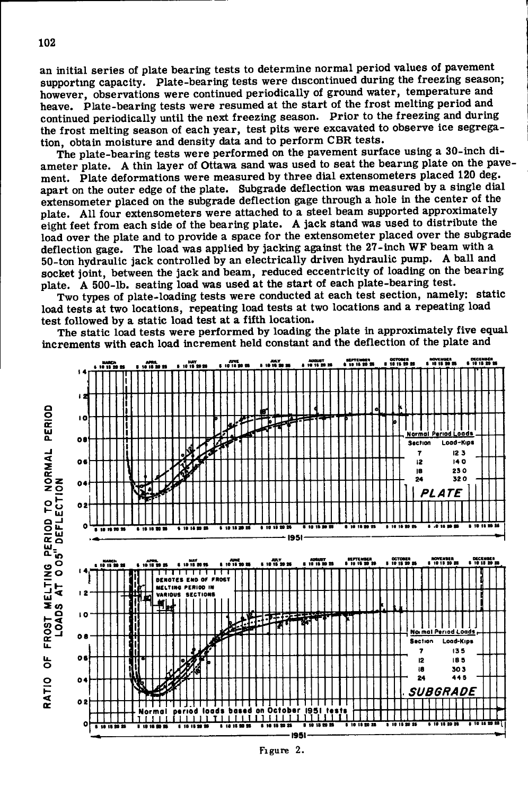an initial series of plate bearing tests to determine normal period values of pavement supporting capacity. Plate-bearing tests were discontinued during the freezing season: however, observations were continued periodically of ground water, temperature and heave. Plate-bearing tests were resumed at the start of the frost melting period and continued periodically until the next freezing season. Prior to the freezing and during the frost melting season of each year, test pits were excavated to observe ice segregation, obtain moisture and density data and to perform CBR tests.

The plate-bearing tests were performed on the pavement surface using a 30-inch diameter plate. A thin layer of Ottawa sand was used to seat the bearing plate on the pavement. Plate deformations were measured by three dial extensometers placed 120 deg. apart on the outer edge of the plate. Subgrade deflection was measured by a single dial extensometer placed on the subgrade deflection gage through a hole in the center of the plate. All four extensometers were attached to a steel beam supported approximately eight feet from each side of the bearing plate. A jack stand was used to distribute the load over the plate and to provide a space for the extensometer placed over the subgrade deflection gage. The load was applied by jacking against the 27-inch WF beam with a 50-ton hydraulic jack controlled by an electrically driven hydraulic pump. A ball and socket joint, between the jack and beam, reduced eccentricity of loading on the bearing plate. A 500-lb. seating load was used at the start of each plate-bearing test.

Two types of plate-loading tests were conducted at each test section, namely: static load tests at two locations, repeating load tests at two locations and a repeating load test followed by a static load test at a fifth location.

The static load tests were performed by loading the plate in approximately five equal increments with each load increment held constant and the deflection of the plate and

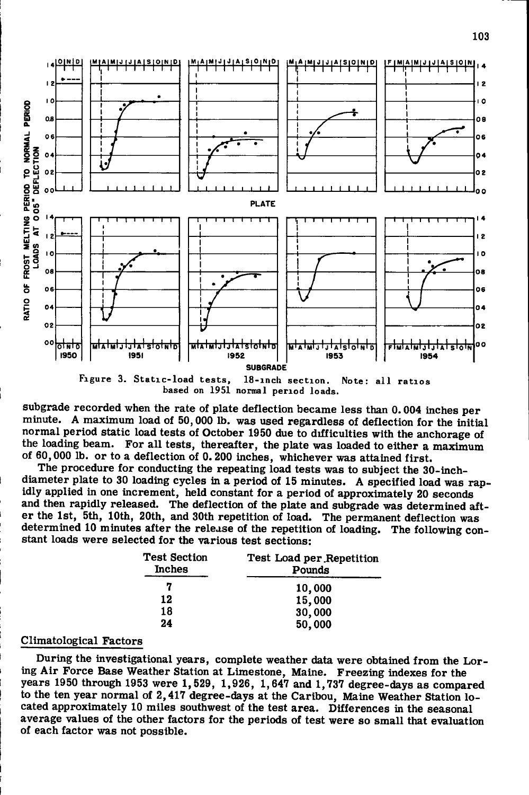

Figure 3. Static-load tests, 18-inch section. Note: all ratios **based on 1951 normal period loads.** 

subgrade recorded when the rate of plate deflection became less than 0.004 inches per minute. A maximum load of 50,000 lb. was used regardless of deflection for the initial normal period static load tests of October 1950 due to difficulties with the anchorage of the loading beam. For all tests, thereafter, the plate was loaded to either a maximum of 60,000 lb. or to a deflection of 0.200 inches, whichever was attained first .

The procedure for conducting the repeating load tests was to subject the 30-inchdiameter plate to 30 loading cycles in a period of 15 minutes. A specified load was rapidly applied in one increment, held constant for a period of approximately 20 seconds and then rapidly released. The deflection of the plate and subgrade was determined after the 1st, 5th, 10th, 20th, and 30th repetition of load. The permanent deflection was determined 10 minutes after the release of the repetition of loading. The following constant loads were selected for the various test sections:

| Test Section<br><b>Inches</b> | Test Load per Repetition<br>Pounds |  |
|-------------------------------|------------------------------------|--|
| 7                             | 10,000                             |  |
| 12                            | 15,000                             |  |
| 18                            | 30,000                             |  |
| 24                            | 50,000                             |  |

### Climatological Factors

During the investigational years, complete weather data were obtained from the Loring Air Force Base Weather Station at Limestone, Maine. Freezing indexes for the years 1950 through 1953 were 1,529, 1,926, 1,647 and 1,737 degree-days as compared to the ten year normal of 2,417 degree-days at the Caribou, Maine Weather Station located approximately 10 miles southwest of the test area. Differences in the seasonal average values of the other factors for the periods of test were so small that evaluation of each factor was not possible.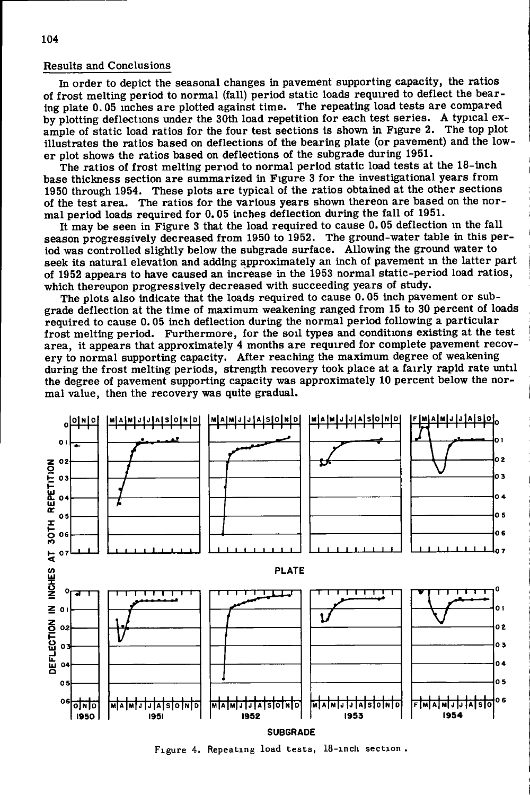## Results and Conclusions

In order to depict the seasonal changes in pavement supporting capacity, the ratios of frost melting period to normal (fall) period static loads required to deflect the bearing plate 0.05 inches are plotted against time. The repeating load tests are compared by plotting deflections under the 30th load repetition for each test series. A typical example of static load ratios for the four test sections is shown in Figure 2. The top plot illustrates the ratios based on deflections of the bearing plate (or pavement) and the lower plot shows the ratios based on deflections of the subgrade during 1951.

The ratios of frost melting period to normal period static load tests at the 18-inch base thickness section are summarized in Figure 3 for the investigational years from 1950 through 1954. These plots are typical of the ratios obtained at the other sections of the test area. The ratios for the various years shown thereon are based on the normal period loads required for 0.05 inches deflection during the fall of 1951.

It may be seen in Figure 3 that the load required to cause 0.05 deflection in the fall season progressively decreased from 1950 to 1952. The ground-water table in this period was controlled slightly below the subgrade surface. Allowing the ground water to seek its natural elevation and adding approximately an inch of pavement m the latter part of 1952 appears to have caused an increase in the 1953 normal static-period load ratios, which thereupon progressively decreased with succeeding years of study.

The plots also indicate that the loads required to cause 0.05 inch pavement or subgrade deflection at the time of maximum weakening ranged from 15 to 30 percent of loads required to cause 0.05 inch deflection during the normal period following a particular frost melting period. Furthermore, for the soil types and conditions existing at the test area, it appears that approximately 4 months are required for complete pavement recovery to normal supporting capacity. After reaching the maximum degree of weakening during the frost melting periods, strength recovery took place at a fairly rapid rate until the degree of pavement supporting capacity was approximately 10 percent below the normal value, then the recovery was quite gradual.



**Figure 4. Repeating load tests, 18-inch section**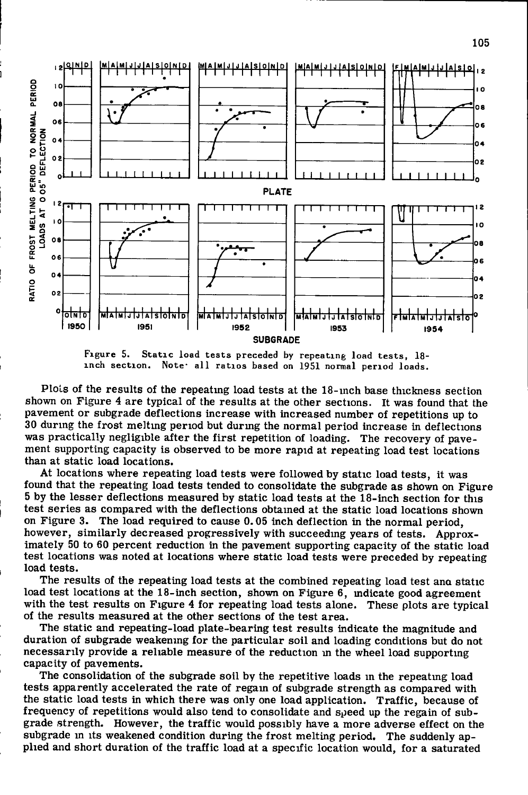



**Figure 5. Static load tests preceded by repeating load tests, 18-** Note<sup>.</sup> all ratios based on 1951 normal period loads.

Plots of the results of the repeatmg load tests at the 18-inch base thickness section shown on Figure 4 are typical of the results at the other sections. It was found that the pavement or subgrade deflections increase with increased number of repetitions up to 30 during the frost melting period but durmg the normal period increase in deflections was practically negligible after the first repetition of loading. The recovery of pavement supporting capacity is observed to be more rapid at repeating load test locations than at static load locations.

At locations where repeating load tests were followed by static load tests, it was found that the repeating load tests tended to consolidate the subgrade as shown on Figure 5 by the lesser deflections measured by static load tests at the 18-inch section for this test series as compared with the deflections obtained at the static load locations shown on Figure 3. The load required to cause 0.05 inch deflection in the normal period, however, similarly decreased progressively with succeeding years of tests. Approximately 50 to 60 percent reduction in the pavement supporting capacity of the static load test locations was noted at locations where static load tests were preceded by repeating load tests.

The results of the repeating load tests at the combined repeating load test ana static load test locations at the 18-inch section, shown on Figure 6, mdicate good agreement with the test results on Figure 4 for repeating load tests alone. These plots are typical of the results measured at the other sections of the test area.

The static and repeating-load plate-bearing test results indicate the magnitude and duration of subgrade weakening for the particular soil and loading conditions but do not necessarily provide a reliable measure of the reduction m the wheel load supporting capacity of pavements.

The consolidation of the subgrade soil by the repetitive loads in the repeatmg load tests apparently accelerated the rate of regam of subgrade strength as compared with the static load tests in which there was only one load application. Traffic, because of frequency of repetitions would also tend to consolidate and speed up the regain of subgrade strength. However, the traffic would possibly have a more adverse effect on the subgrade in its weakened condition during the frost melting period. The suddenly applied and short duration of the traffic load at a specific location would, for a saturated